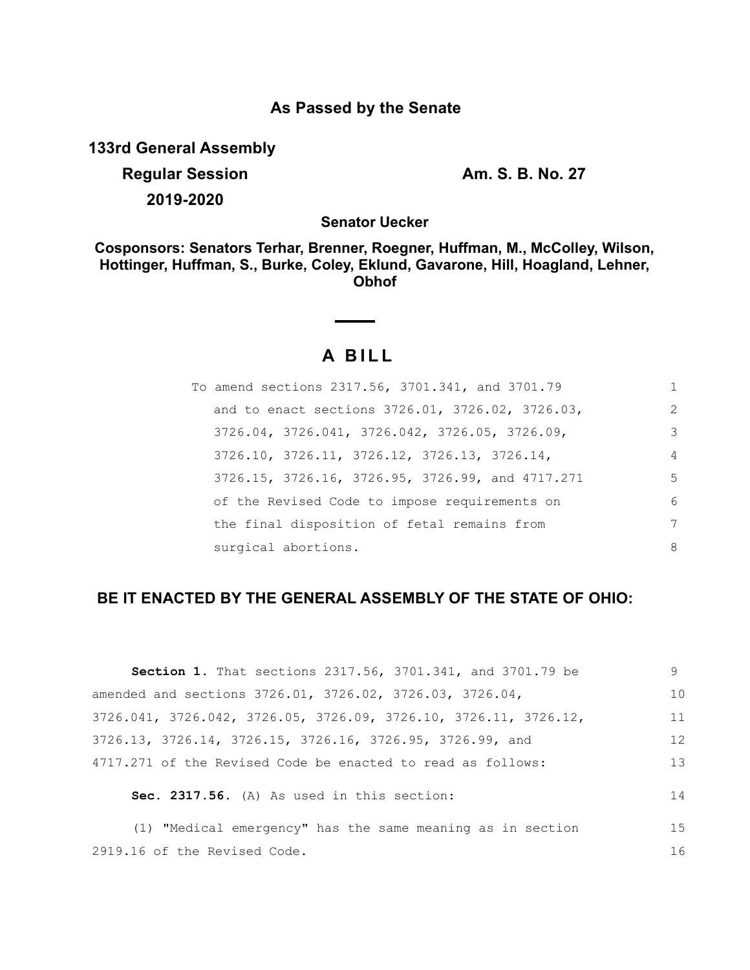## **As Passed by the Senate**

**133rd General Assembly**

**Regular Session Am. S. B. No. 27 2019-2020**

**Senator Uecker**

**Cosponsors: Senators Terhar, Brenner, Roegner, Huffman, M., McColley, Wilson, Hottinger, Huffman, S., Burke, Coley, Eklund, Gavarone, Hill, Hoagland, Lehner, Obhof**

# **A B I L L**

| To amend sections 2317.56, 3701.341, and 3701.79 | 1              |
|--------------------------------------------------|----------------|
| and to enact sections 3726.01, 3726.02, 3726.03, | $\mathcal{L}$  |
| 3726.04, 3726.041, 3726.042, 3726.05, 3726.09,   | 3              |
| 3726.10, 3726.11, 3726.12, 3726.13, 3726.14,     | $\overline{4}$ |
| 3726.15, 3726.16, 3726.95, 3726.99, and 4717.271 | 5              |
| of the Revised Code to impose requirements on    | 6              |
| the final disposition of fetal remains from      | 7              |
| surgical abortions.                              | 8              |

### **BE IT ENACTED BY THE GENERAL ASSEMBLY OF THE STATE OF OHIO:**

| <b>Section 1.</b> That sections 2317.56, 3701.341, and 3701.79 be                     | 9  |
|---------------------------------------------------------------------------------------|----|
| amended and sections 3726.01, 3726.02, 3726.03, 3726.04,                              | 10 |
| $3726.041$ , $3726.042$ , $3726.05$ , $3726.09$ , $3726.10$ , $3726.11$ , $3726.12$ , | 11 |
| 3726.13, 3726.14, 3726.15, 3726.16, 3726.95, 3726.99, and                             | 12 |
| 4717.271 of the Revised Code be enacted to read as follows:                           | 13 |
| Sec. 2317.56. (A) As used in this section:                                            | 14 |
| (1) "Medical emergency" has the same meaning as in section                            | 15 |
| 2919.16 of the Revised Code.                                                          | 16 |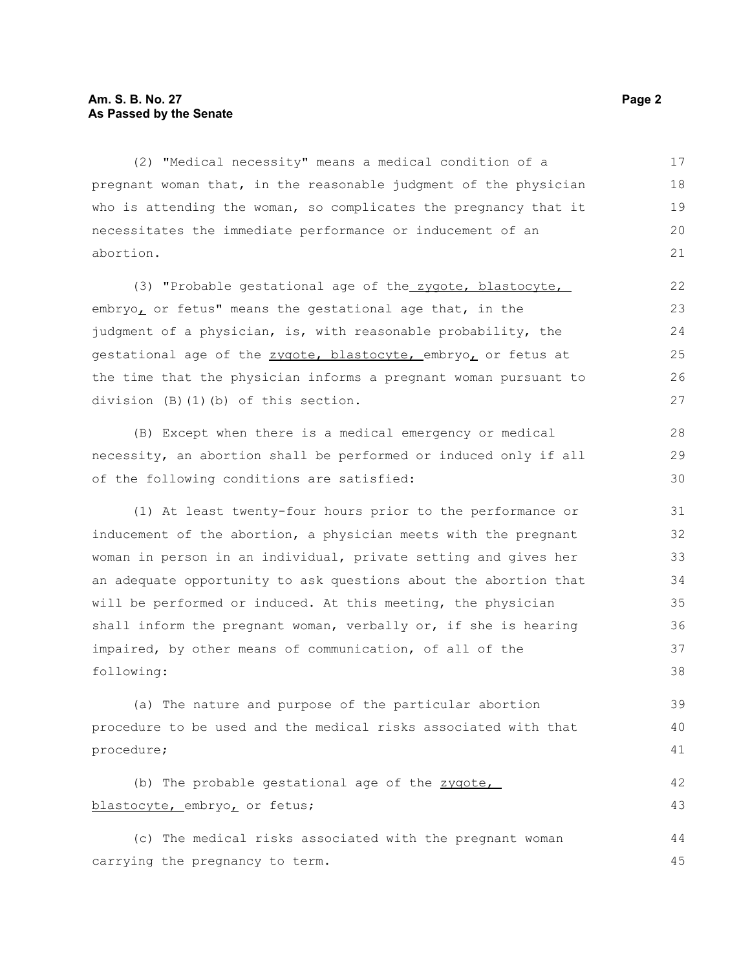(2) "Medical necessity" means a medical condition of a pregnant woman that, in the reasonable judgment of the physician who is attending the woman, so complicates the pregnancy that it necessitates the immediate performance or inducement of an abortion. 17 18 19 20 21

(3) "Probable gestational age of the zygote, blastocyte, embryo, or fetus" means the gestational age that, in the judgment of a physician, is, with reasonable probability, the gestational age of the zygote, blastocyte, embryo, or fetus at the time that the physician informs a pregnant woman pursuant to division (B)(1)(b) of this section.

(B) Except when there is a medical emergency or medical necessity, an abortion shall be performed or induced only if all of the following conditions are satisfied:

(1) At least twenty-four hours prior to the performance or inducement of the abortion, a physician meets with the pregnant woman in person in an individual, private setting and gives her an adequate opportunity to ask questions about the abortion that will be performed or induced. At this meeting, the physician shall inform the pregnant woman, verbally or, if she is hearing impaired, by other means of communication, of all of the following:

(a) The nature and purpose of the particular abortion procedure to be used and the medical risks associated with that procedure; 39 40 41

(b) The probable gestational age of the zygote, blastocyte, embryo, or fetus;

(c) The medical risks associated with the pregnant woman carrying the pregnancy to term. 44 45

28 29 30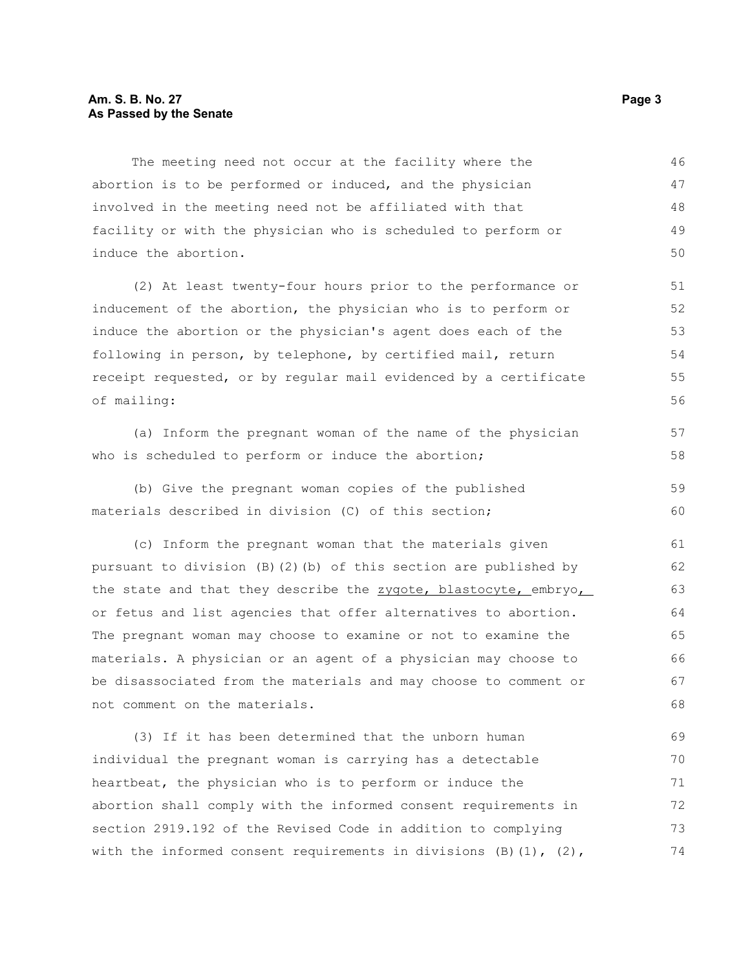#### **Am. S. B. No. 27 Page 3 As Passed by the Senate**

The meeting need not occur at the facility where the abortion is to be performed or induced, and the physician involved in the meeting need not be affiliated with that facility or with the physician who is scheduled to perform or induce the abortion. 46 47 48 49 50

(2) At least twenty-four hours prior to the performance or inducement of the abortion, the physician who is to perform or induce the abortion or the physician's agent does each of the following in person, by telephone, by certified mail, return receipt requested, or by regular mail evidenced by a certificate of mailing:

(a) Inform the pregnant woman of the name of the physician who is scheduled to perform or induce the abortion;

(b) Give the pregnant woman copies of the published materials described in division (C) of this section; 59 60

(c) Inform the pregnant woman that the materials given pursuant to division (B)(2)(b) of this section are published by the state and that they describe the zygote, blastocyte, embryo, or fetus and list agencies that offer alternatives to abortion. The pregnant woman may choose to examine or not to examine the materials. A physician or an agent of a physician may choose to be disassociated from the materials and may choose to comment or not comment on the materials. 61 62 63 64 65 66 67 68

(3) If it has been determined that the unborn human individual the pregnant woman is carrying has a detectable heartbeat, the physician who is to perform or induce the abortion shall comply with the informed consent requirements in section 2919.192 of the Revised Code in addition to complying with the informed consent requirements in divisions (B)(1), (2), 69 70 71 72 73 74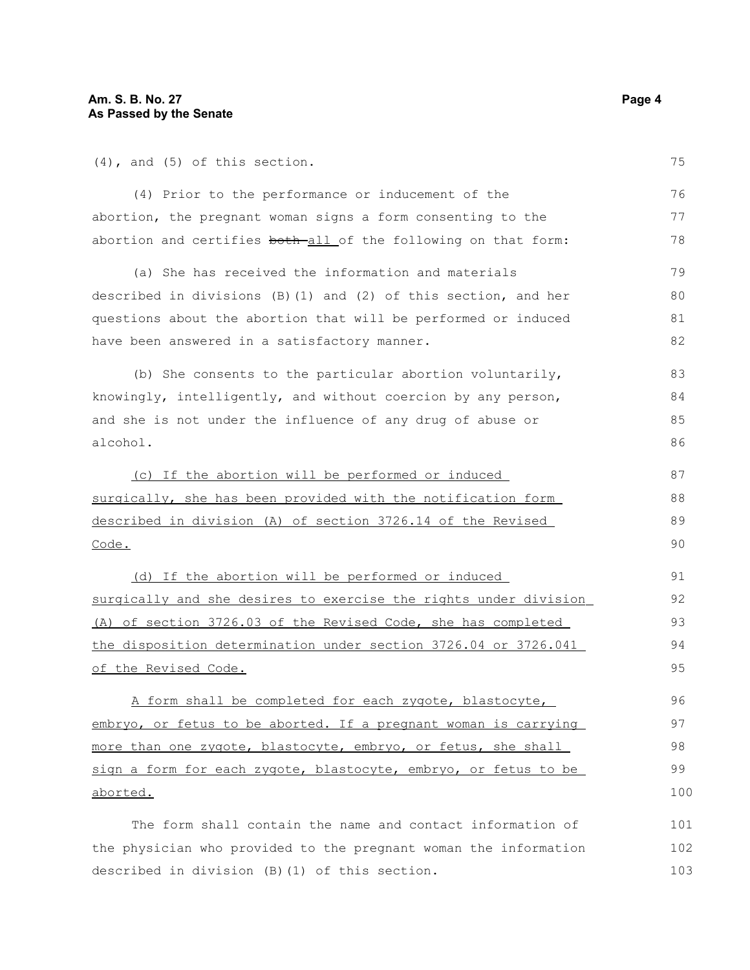(4), and (5) of this section.

(4) Prior to the performance or inducement of the abortion, the pregnant woman signs a form consenting to the abortion and certifies both-all of the following on that form:

(a) She has received the information and materials described in divisions (B)(1) and (2) of this section, and her questions about the abortion that will be performed or induced have been answered in a satisfactory manner.

(b) She consents to the particular abortion voluntarily, knowingly, intelligently, and without coercion by any person, and she is not under the influence of any drug of abuse or alcohol. 83 84 85 86

 (c) If the abortion will be performed or induced surgically, she has been provided with the notification form described in division (A) of section 3726.14 of the Revised Code. 87 88 89 90

 (d) If the abortion will be performed or induced surgically and she desires to exercise the rights under division (A) of section 3726.03 of the Revised Code, she has completed the disposition determination under section 3726.04 or 3726.041 of the Revised Code.

A form shall be completed for each zygote, blastocyte, embryo, or fetus to be aborted. If a pregnant woman is carrying more than one zygote, blastocyte, embryo, or fetus, she shall sign a form for each zygote, blastocyte, embryo, or fetus to be aborted.

The form shall contain the name and contact information of the physician who provided to the pregnant woman the information described in division (B)(1) of this section. 101 102 103

75

76 77 78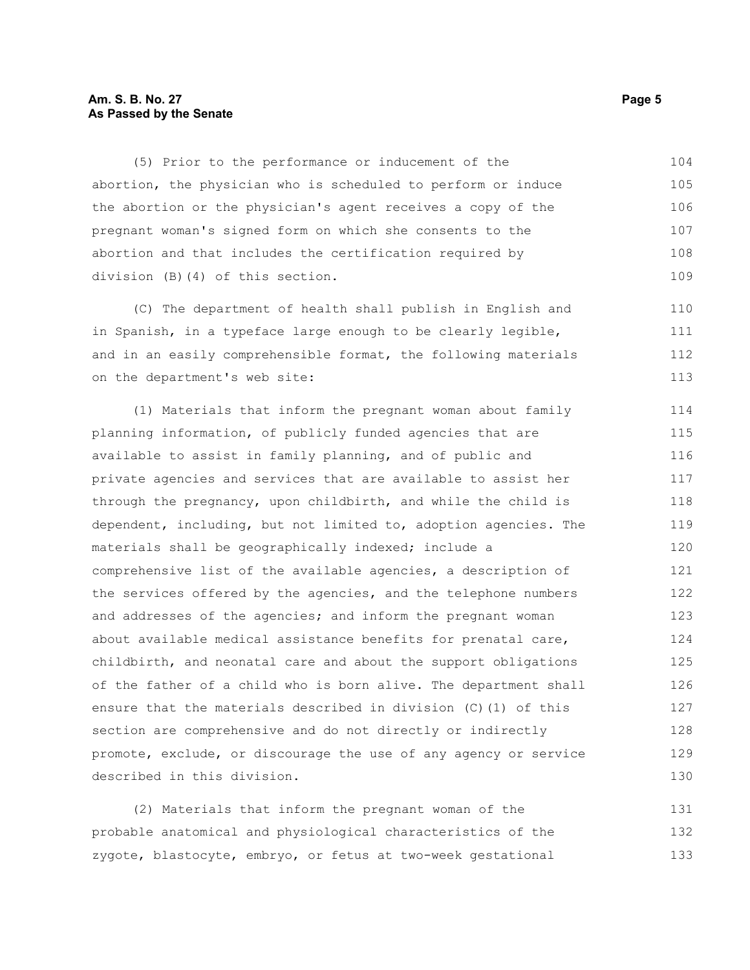#### **Am. S. B. No. 27 Page 5 As Passed by the Senate**

(5) Prior to the performance or inducement of the abortion, the physician who is scheduled to perform or induce the abortion or the physician's agent receives a copy of the pregnant woman's signed form on which she consents to the abortion and that includes the certification required by division (B)(4) of this section. 104 105 106 107 108 109

(C) The department of health shall publish in English and in Spanish, in a typeface large enough to be clearly legible, and in an easily comprehensible format, the following materials on the department's web site: 110 111 112 113

(1) Materials that inform the pregnant woman about family planning information, of publicly funded agencies that are available to assist in family planning, and of public and private agencies and services that are available to assist her through the pregnancy, upon childbirth, and while the child is dependent, including, but not limited to, adoption agencies. The materials shall be geographically indexed; include a comprehensive list of the available agencies, a description of the services offered by the agencies, and the telephone numbers and addresses of the agencies; and inform the pregnant woman about available medical assistance benefits for prenatal care, childbirth, and neonatal care and about the support obligations of the father of a child who is born alive. The department shall ensure that the materials described in division (C)(1) of this section are comprehensive and do not directly or indirectly promote, exclude, or discourage the use of any agency or service described in this division. 114 115 116 117 118 119 120 121 122 123 124 125 126 127 128 129 130

(2) Materials that inform the pregnant woman of the probable anatomical and physiological characteristics of the zygote, blastocyte, embryo, or fetus at two-week gestational 131 132 133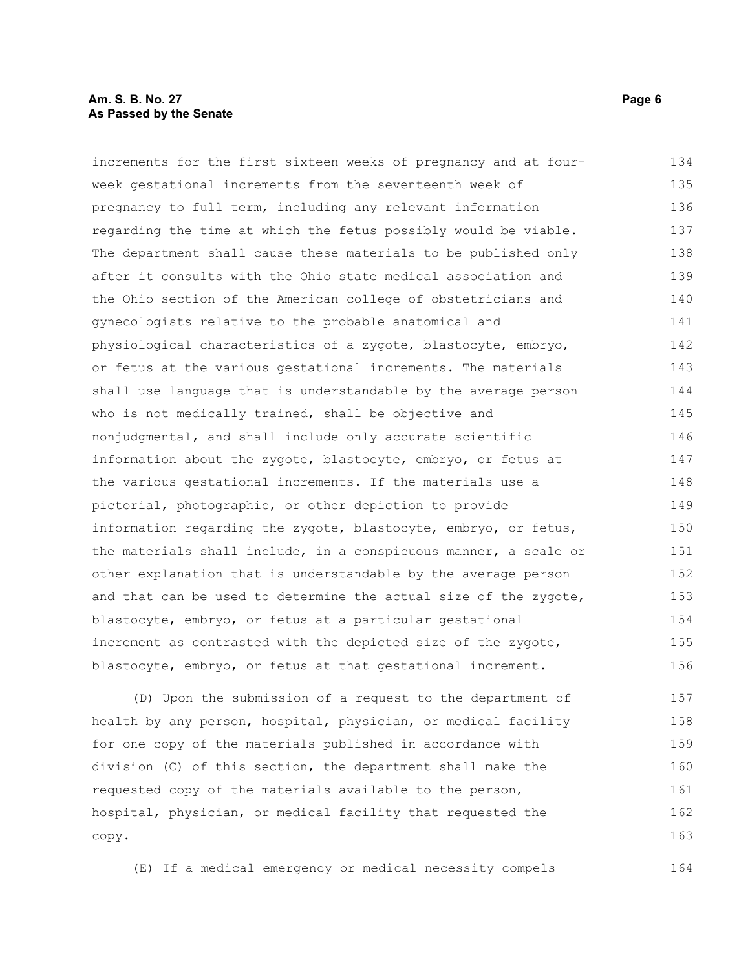#### **Am. S. B. No. 27 Page 6 As Passed by the Senate**

increments for the first sixteen weeks of pregnancy and at fourweek gestational increments from the seventeenth week of pregnancy to full term, including any relevant information regarding the time at which the fetus possibly would be viable. The department shall cause these materials to be published only after it consults with the Ohio state medical association and the Ohio section of the American college of obstetricians and gynecologists relative to the probable anatomical and physiological characteristics of a zygote, blastocyte, embryo, or fetus at the various gestational increments. The materials shall use language that is understandable by the average person who is not medically trained, shall be objective and nonjudgmental, and shall include only accurate scientific information about the zygote, blastocyte, embryo, or fetus at the various gestational increments. If the materials use a pictorial, photographic, or other depiction to provide information regarding the zygote, blastocyte, embryo, or fetus, the materials shall include, in a conspicuous manner, a scale or other explanation that is understandable by the average person and that can be used to determine the actual size of the zygote, blastocyte, embryo, or fetus at a particular gestational increment as contrasted with the depicted size of the zygote, blastocyte, embryo, or fetus at that gestational increment. (D) Upon the submission of a request to the department of 134 135 136 137 138 139 140 141 142 143 144 145 146 147 148 149 150 151 152 153 154 155 156 157

health by any person, hospital, physician, or medical facility for one copy of the materials published in accordance with division (C) of this section, the department shall make the requested copy of the materials available to the person, hospital, physician, or medical facility that requested the copy. 158 159 160 161 162 163

(E) If a medical emergency or medical necessity compels 164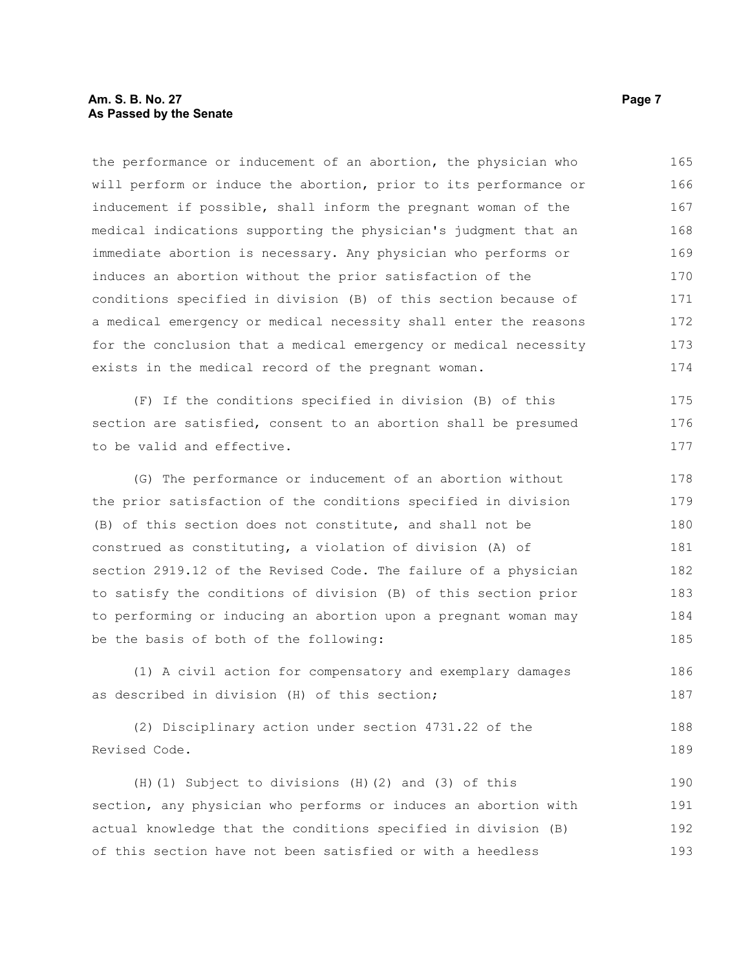#### **Am. S. B. No. 27 Page 7 As Passed by the Senate**

the performance or inducement of an abortion, the physician who will perform or induce the abortion, prior to its performance or inducement if possible, shall inform the pregnant woman of the medical indications supporting the physician's judgment that an immediate abortion is necessary. Any physician who performs or induces an abortion without the prior satisfaction of the conditions specified in division (B) of this section because of a medical emergency or medical necessity shall enter the reasons for the conclusion that a medical emergency or medical necessity exists in the medical record of the pregnant woman. 165 166 167 168 169 170 171 172 173 174

(F) If the conditions specified in division (B) of this section are satisfied, consent to an abortion shall be presumed to be valid and effective.

(G) The performance or inducement of an abortion without the prior satisfaction of the conditions specified in division (B) of this section does not constitute, and shall not be construed as constituting, a violation of division (A) of section 2919.12 of the Revised Code. The failure of a physician to satisfy the conditions of division (B) of this section prior to performing or inducing an abortion upon a pregnant woman may be the basis of both of the following: 178 179 180 181 182 183 184 185

(1) A civil action for compensatory and exemplary damages as described in division (H) of this section; 186 187

(2) Disciplinary action under section 4731.22 of the Revised Code. 188 189

(H)(1) Subject to divisions (H)(2) and (3) of this section, any physician who performs or induces an abortion with actual knowledge that the conditions specified in division (B) of this section have not been satisfied or with a heedless 190 191 192 193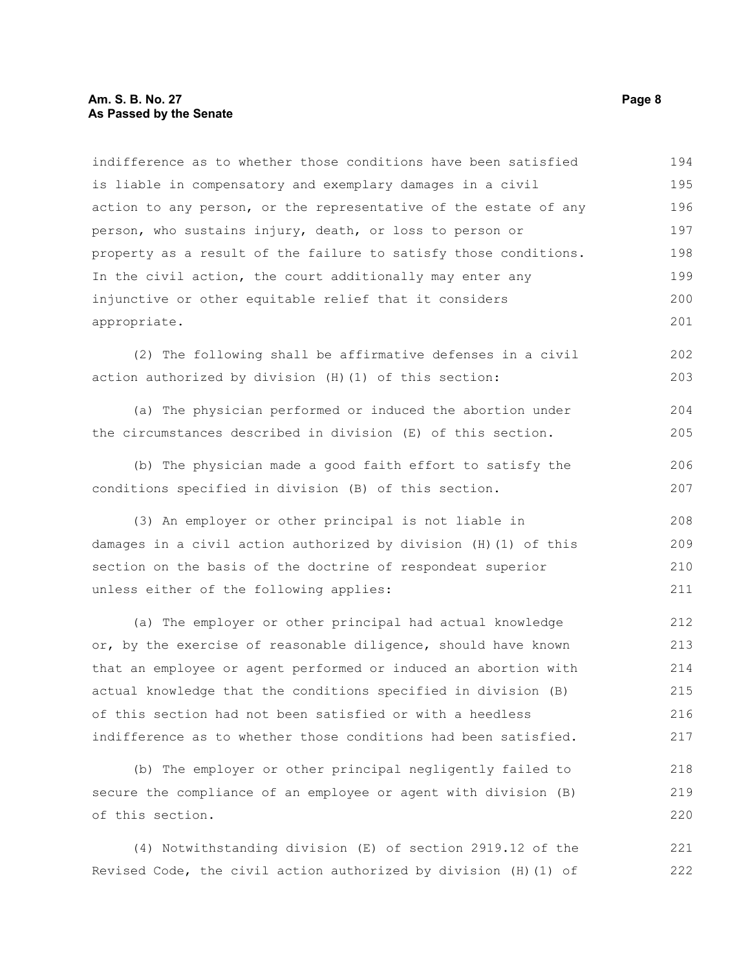#### **Am. S. B. No. 27 Page 8 As Passed by the Senate**

indifference as to whether those conditions have been satisfied is liable in compensatory and exemplary damages in a civil action to any person, or the representative of the estate of any person, who sustains injury, death, or loss to person or property as a result of the failure to satisfy those conditions. In the civil action, the court additionally may enter any injunctive or other equitable relief that it considers appropriate. 194 195 196 197 198 199 200 201

(2) The following shall be affirmative defenses in a civil action authorized by division (H)(1) of this section: 202 203

(a) The physician performed or induced the abortion under the circumstances described in division (E) of this section. 204 205

(b) The physician made a good faith effort to satisfy the conditions specified in division (B) of this section. 206 207

(3) An employer or other principal is not liable in damages in a civil action authorized by division (H)(1) of this section on the basis of the doctrine of respondeat superior unless either of the following applies: 208 209 210 211

(a) The employer or other principal had actual knowledge or, by the exercise of reasonable diligence, should have known that an employee or agent performed or induced an abortion with actual knowledge that the conditions specified in division (B) of this section had not been satisfied or with a heedless indifference as to whether those conditions had been satisfied. 212 213 214 215 216 217

(b) The employer or other principal negligently failed to secure the compliance of an employee or agent with division (B) of this section. 218 219 220

(4) Notwithstanding division (E) of section 2919.12 of the Revised Code, the civil action authorized by division (H)(1) of 221 222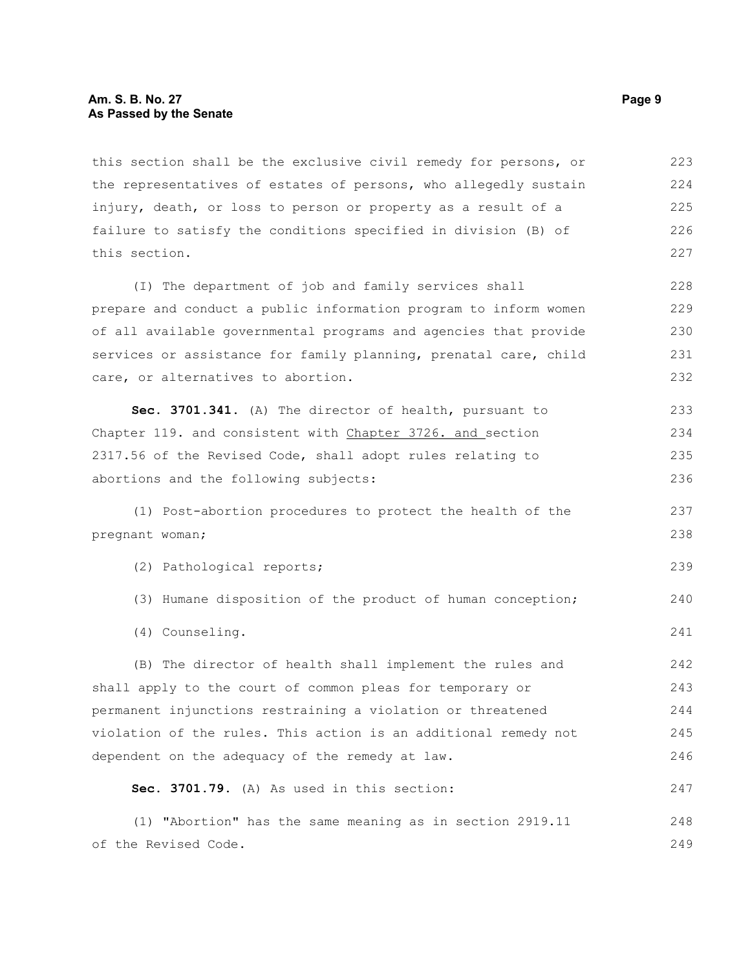#### **Am. S. B. No. 27 Page 9 As Passed by the Senate**

this section shall be the exclusive civil remedy for persons, or the representatives of estates of persons, who allegedly sustain injury, death, or loss to person or property as a result of a failure to satisfy the conditions specified in division (B) of this section. 223 224 225 226 227

(I) The department of job and family services shall prepare and conduct a public information program to inform women of all available governmental programs and agencies that provide services or assistance for family planning, prenatal care, child care, or alternatives to abortion. 228 229 230 231 232

**Sec. 3701.341.** (A) The director of health, pursuant to Chapter 119. and consistent with Chapter 3726. and section 2317.56 of the Revised Code, shall adopt rules relating to abortions and the following subjects: 233 234 235 236

(1) Post-abortion procedures to protect the health of the pregnant woman;

(2) Pathological reports;

- (3) Humane disposition of the product of human conception; 240
- (4) Counseling.

(B) The director of health shall implement the rules and shall apply to the court of common pleas for temporary or permanent injunctions restraining a violation or threatened violation of the rules. This action is an additional remedy not dependent on the adequacy of the remedy at law. 242 243 244 245 246

#### **Sec. 3701.79.** (A) As used in this section:

(1) "Abortion" has the same meaning as in section 2919.11 of the Revised Code. 248 249

237 238

239

241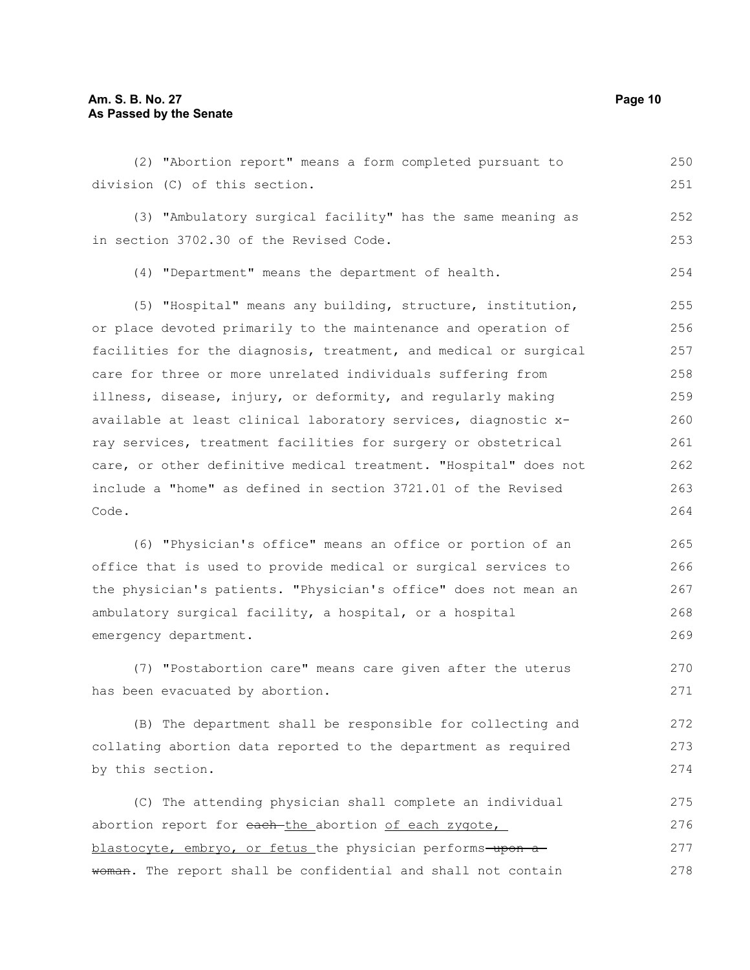| division (C) of this section.                                    | 251 |
|------------------------------------------------------------------|-----|
| (3) "Ambulatory surgical facility" has the same meaning as       | 252 |
| in section 3702.30 of the Revised Code.                          | 253 |
| (4) "Department" means the department of health.                 | 254 |
| (5) "Hospital" means any building, structure, institution,       | 255 |
| or place devoted primarily to the maintenance and operation of   | 256 |
| facilities for the diagnosis, treatment, and medical or surgical | 257 |
| care for three or more unrelated individuals suffering from      | 258 |
| illness, disease, injury, or deformity, and regularly making     | 259 |
| available at least clinical laboratory services, diagnostic x-   | 260 |
| ray services, treatment facilities for surgery or obstetrical    | 261 |
| care, or other definitive medical treatment. "Hospital" does not | 262 |
| include a "home" as defined in section 3721.01 of the Revised    | 263 |
| Code.                                                            | 264 |
| (6) "Physician's office" means an office or portion of an        | 265 |
| office that is used to provide medical or surgical services to   | 266 |
| the physician's patients. "Physician's office" does not mean an  | 267 |
| ambulatory surgical facility, a hospital, or a hospital          | 268 |
| emergency department.                                            | 269 |
| (7) "Postabortion care" means care given after the uterus        | 270 |
| has been evacuated by abortion.                                  | 271 |
| (B) The department shall be responsible for collecting and       | 272 |
| collating abortion data reported to the department as required   | 273 |
| by this section.                                                 | 274 |
| (C) The attending physician shall complete an individual         | 275 |
| abortion report for each the abortion of each zygote,            | 276 |
| blastocyte, embryo, or fetus the physician performs-upon a-      | 277 |

(2) "Abortion report" means a form completed pursuant to

blastocyte, embryo, or fetus the physician performs-upon awoman. The report shall be confidential and shall not contain 278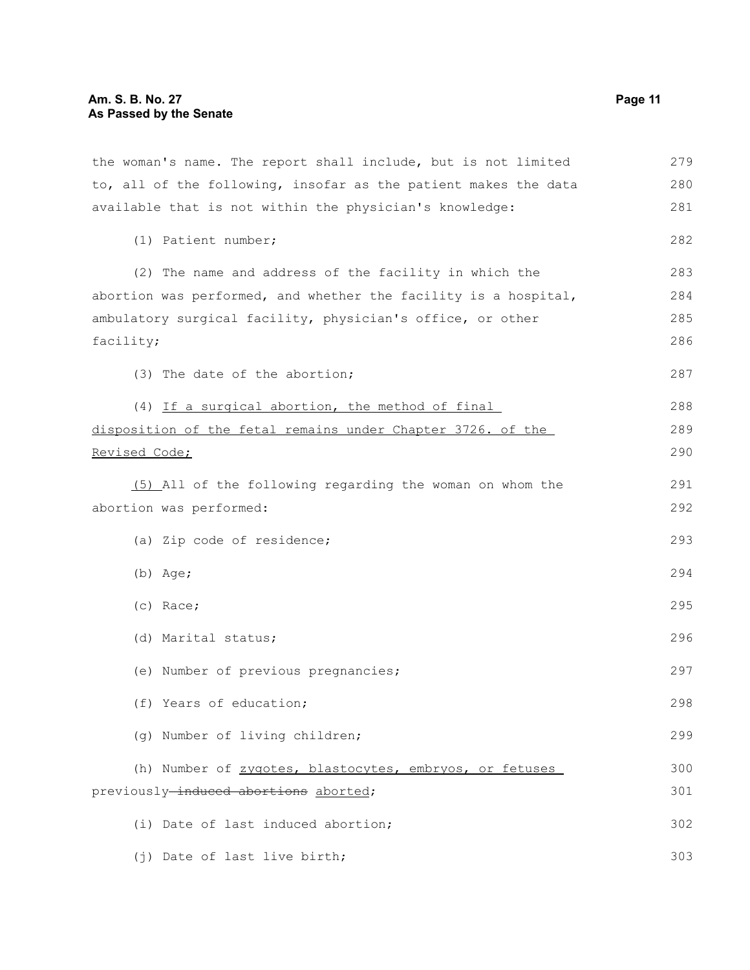the woman's name. The report shall include, but is not limited to, all of the following, insofar as the patient makes the data available that is not within the physician's knowledge: (1) Patient number; (2) The name and address of the facility in which the abortion was performed, and whether the facility is a hospital, ambulatory surgical facility, physician's office, or other facility; (3) The date of the abortion; (4) If a surgical abortion, the method of final disposition of the fetal remains under Chapter 3726. of the Revised Code; (5) All of the following regarding the woman on whom the abortion was performed: (a) Zip code of residence; (b) Age; (c) Race; (d) Marital status; (e) Number of previous pregnancies; (f) Years of education; (g) Number of living children; (h) Number of zygotes, blastocytes, embryos, or fetuses previously-induced abortions aborted; (i) Date of last induced abortion; (j) Date of last live birth; 279 280 281 282 283 284 285 286 287 288 289 290 291 292 293 294 295 296 297 298 299 300 301 302 303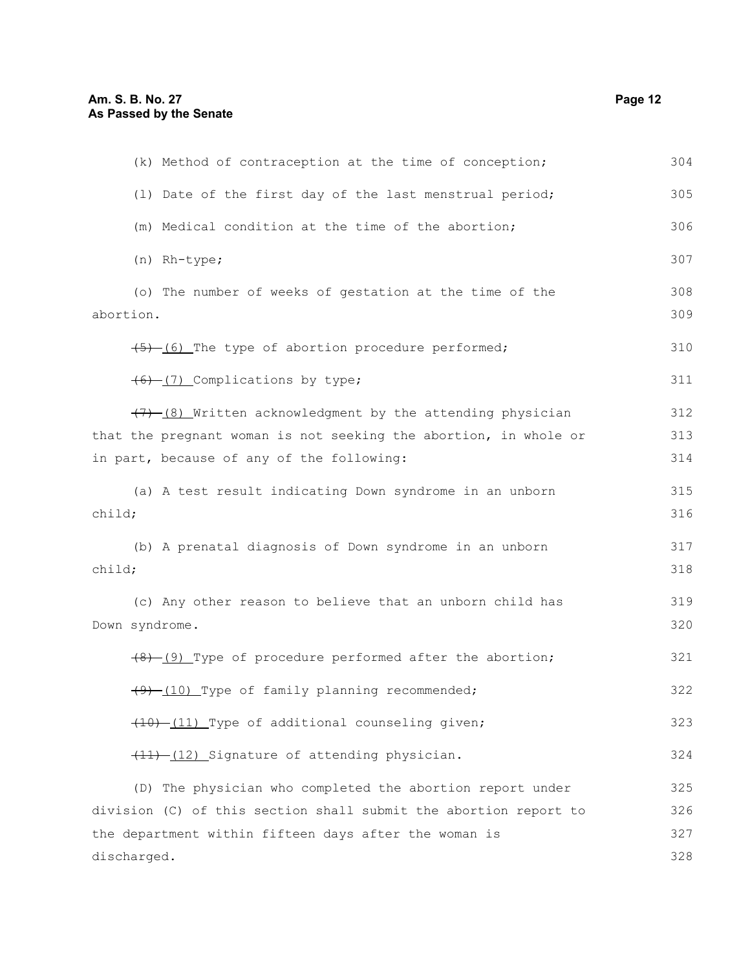| (k) Method of contraception at the time of conception;                                                                          | 304        |
|---------------------------------------------------------------------------------------------------------------------------------|------------|
| (1) Date of the first day of the last menstrual period;                                                                         | 305        |
| (m) Medical condition at the time of the abortion;                                                                              | 306        |
| (n) Rh-type;                                                                                                                    | 307        |
| (o) The number of weeks of gestation at the time of the<br>abortion.                                                            | 308<br>309 |
| (5) (6) The type of abortion procedure performed;                                                                               | 310        |
| (6) (7) Complications by type;                                                                                                  | 311        |
| $(7)$ (8) Written acknowledgment by the attending physician<br>that the pregnant woman is not seeking the abortion, in whole or | 312<br>313 |
| in part, because of any of the following:                                                                                       | 314        |
| (a) A test result indicating Down syndrome in an unborn<br>child;                                                               | 315<br>316 |
| (b) A prenatal diagnosis of Down syndrome in an unborn<br>child;                                                                | 317<br>318 |
| (c) Any other reason to believe that an unborn child has<br>Down syndrome.                                                      | 319<br>320 |
| $(9)$ (9) Type of procedure performed after the abortion;                                                                       | 321        |
| (9) (10) Type of family planning recommended;                                                                                   | 322        |
| (10) -(11) Type of additional counseling given;                                                                                 | 323        |
| (11) -(12) Signature of attending physician.                                                                                    | 324        |
| (D) The physician who completed the abortion report under                                                                       | 325        |
| division (C) of this section shall submit the abortion report to                                                                | 326        |
| the department within fifteen days after the woman is                                                                           | 327        |
| discharged.                                                                                                                     | 328        |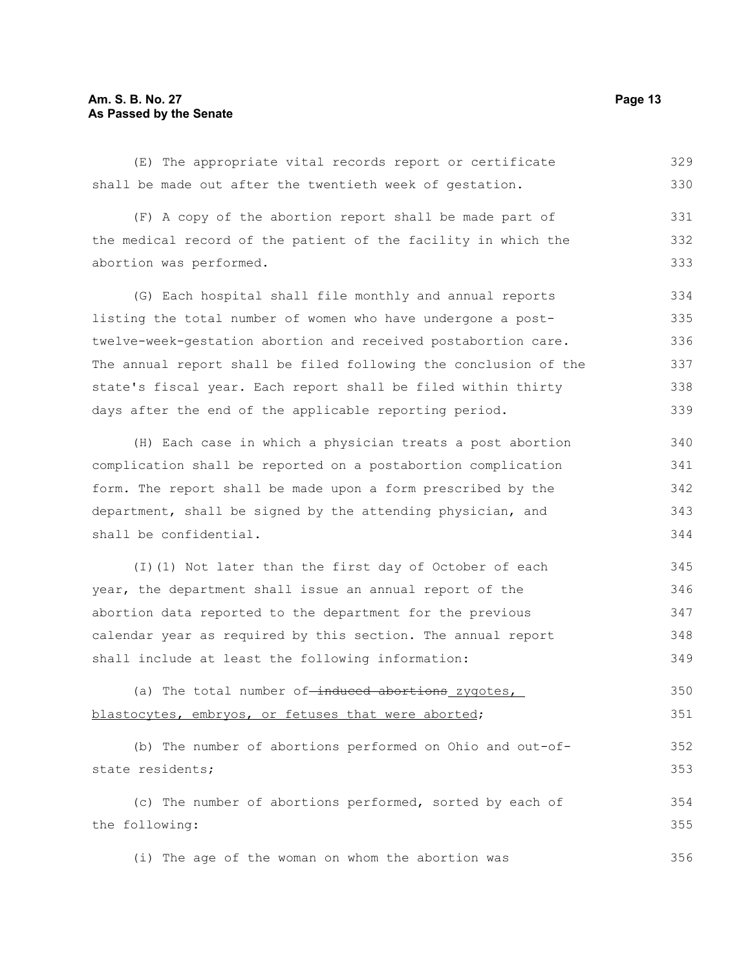#### **Am. S. B. No. 27 Page 13 As Passed by the Senate**

(E) The appropriate vital records report or certificate shall be made out after the twentieth week of gestation. 329 330

(F) A copy of the abortion report shall be made part of the medical record of the patient of the facility in which the abortion was performed. 331 332 333

(G) Each hospital shall file monthly and annual reports listing the total number of women who have undergone a posttwelve-week-gestation abortion and received postabortion care. The annual report shall be filed following the conclusion of the state's fiscal year. Each report shall be filed within thirty days after the end of the applicable reporting period. 334 335 336 337 338 339

(H) Each case in which a physician treats a post abortion complication shall be reported on a postabortion complication form. The report shall be made upon a form prescribed by the department, shall be signed by the attending physician, and shall be confidential. 340 341 342 343 344

(I)(1) Not later than the first day of October of each year, the department shall issue an annual report of the abortion data reported to the department for the previous calendar year as required by this section. The annual report shall include at least the following information: 345 346 347 348 349

```
(a) The total number of-induced abortions zygotes,
blastocytes, embryos, or fetuses that were aborted;
                                                                            350
                                                                            351
```
(b) The number of abortions performed on Ohio and out-ofstate residents; (c) The number of abortions performed, sorted by each of the following: 352 353 354 355

(i) The age of the woman on whom the abortion was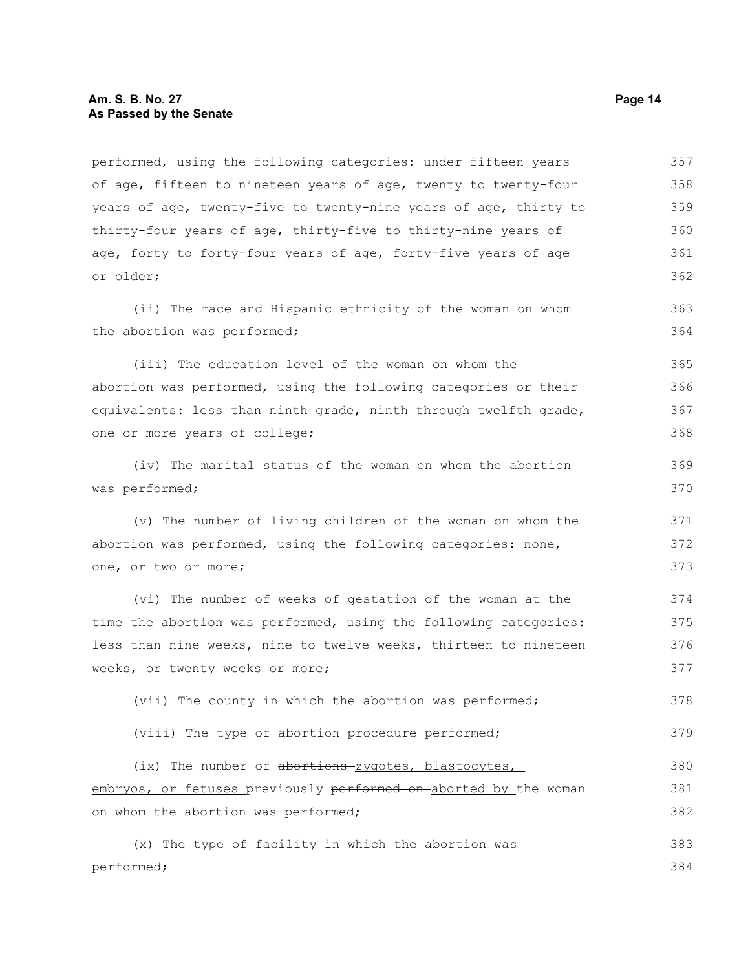performed, using the following categories: under fifteen years of age, fifteen to nineteen years of age, twenty to twenty-four years of age, twenty-five to twenty-nine years of age, thirty to thirty-four years of age, thirty-five to thirty-nine years of age, forty to forty-four years of age, forty-five years of age or older; (ii) The race and Hispanic ethnicity of the woman on whom the abortion was performed; (iii) The education level of the woman on whom the abortion was performed, using the following categories or their equivalents: less than ninth grade, ninth through twelfth grade, one or more years of college; (iv) The marital status of the woman on whom the abortion was performed; (v) The number of living children of the woman on whom the abortion was performed, using the following categories: none, one, or two or more; (vi) The number of weeks of gestation of the woman at the time the abortion was performed, using the following categories: less than nine weeks, nine to twelve weeks, thirteen to nineteen weeks, or twenty weeks or more; (vii) The county in which the abortion was performed; (viii) The type of abortion procedure performed; (ix) The number of abortions zygotes, blastocytes, embryos, or fetuses previously performed on aborted by the woman on whom the abortion was performed; (x) The type of facility in which the abortion was performed; 357 358 359 360 361 362 363 364 365 366 367 368 369 370 371 372 373 374 375 376 377 378 379 380 381 382 383 384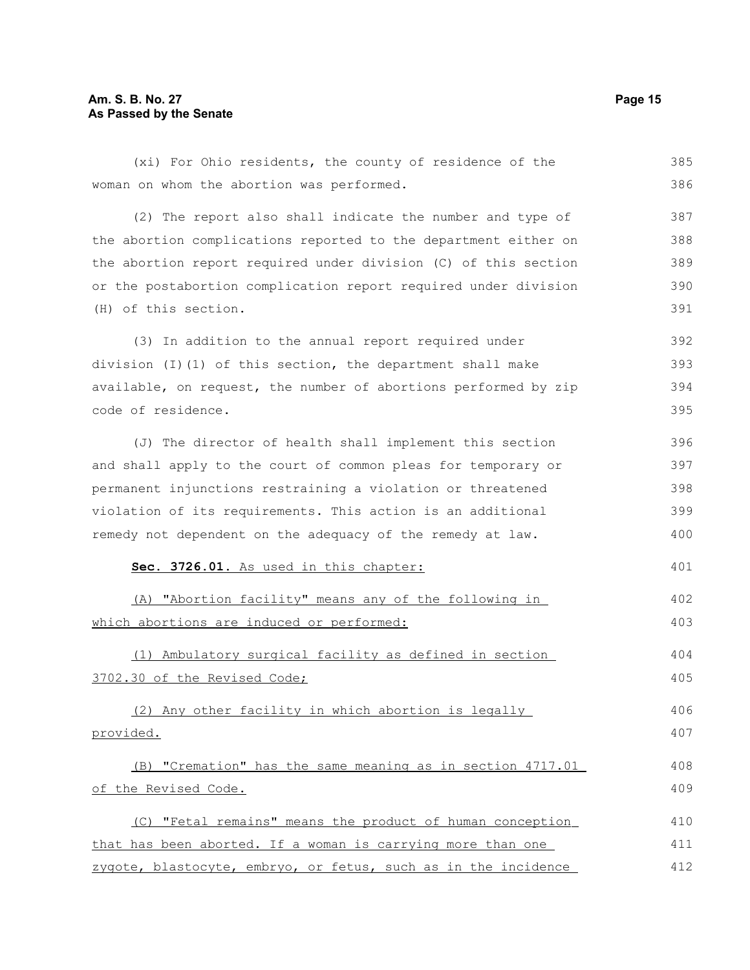#### **Am. S. B. No. 27 Page 15 As Passed by the Senate**

(xi) For Ohio residents, the county of residence of the woman on whom the abortion was performed. (2) The report also shall indicate the number and type of the abortion complications reported to the department either on the abortion report required under division (C) of this section or the postabortion complication report required under division (H) of this section. (3) In addition to the annual report required under division (I)(1) of this section, the department shall make available, on request, the number of abortions performed by zip code of residence. (J) The director of health shall implement this section and shall apply to the court of common pleas for temporary or permanent injunctions restraining a violation or threatened violation of its requirements. This action is an additional remedy not dependent on the adequacy of the remedy at law. **Sec. 3726.01.** As used in this chapter: (A) "Abortion facility" means any of the following in which abortions are induced or performed: (1) Ambulatory surgical facility as defined in section 3702.30 of the Revised Code; (2) Any other facility in which abortion is legally provided. (B) "Cremation" has the same meaning as in section 4717.01 of the Revised Code. (C) "Fetal remains" means the product of human conception that has been aborted. If a woman is carrying more than one zygote, blastocyte, embryo, or fetus, such as in the incidence 385 386 387 388 389 390 391 392 393 394 395 396 397 398 399 400 401 402 403 404 405 406 407 408 409 410 411 412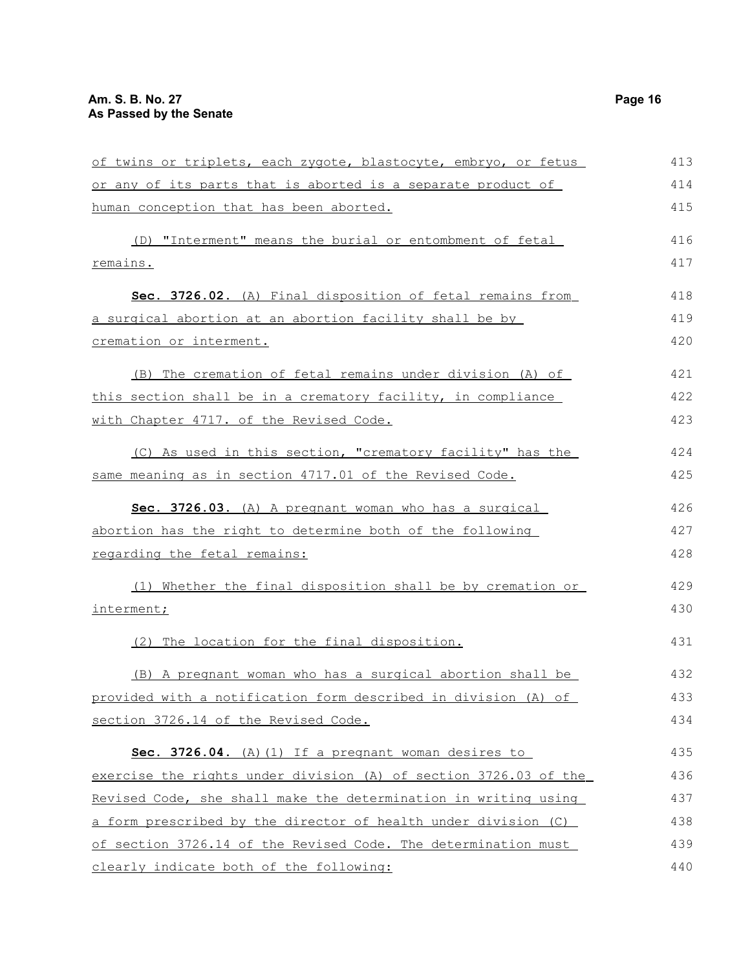| of twins or triplets, each zygote, blastocyte, embryo, or fetus  | 413 |
|------------------------------------------------------------------|-----|
| or any of its parts that is aborted is a separate product of     | 414 |
| human conception that has been aborted.                          | 415 |
| (D) "Interment" means the burial or entombment of fetal          | 416 |
| <u>remains.</u>                                                  | 417 |
| Sec. 3726.02. (A) Final disposition of fetal remains from        | 418 |
| a surgical abortion at an abortion facility shall be by          | 419 |
| cremation or interment.                                          | 420 |
| (B) The cremation of fetal remains under division (A) of         | 421 |
| this section shall be in a crematory facility, in compliance     | 422 |
| with Chapter 4717. of the Revised Code.                          | 423 |
| (C) As used in this section, "crematory facility" has the        | 424 |
| same meaning as in section 4717.01 of the Revised Code.          | 425 |
| Sec. 3726.03. (A) A pregnant woman who has a surgical            | 426 |
| abortion has the right to determine both of the following        | 427 |
| regarding the fetal remains:                                     | 428 |
| (1) Whether the final disposition shall be by cremation or       | 429 |
| interment;                                                       | 430 |
| (2) The location for the final disposition.                      | 431 |
| (B) A pregnant woman who has a surgical abortion shall be        | 432 |
| provided with a notification form described in division (A) of   | 433 |
| section 3726.14 of the Revised Code.                             | 434 |
| Sec. 3726.04. (A) (1) If a pregnant woman desires to             | 435 |
| exercise the rights under division (A) of section 3726.03 of the | 436 |
| Revised Code, she shall make the determination in writing using  | 437 |
| a form prescribed by the director of health under division (C)   | 438 |
| of section 3726.14 of the Revised Code. The determination must   | 439 |
| clearly indicate both of the following:                          | 440 |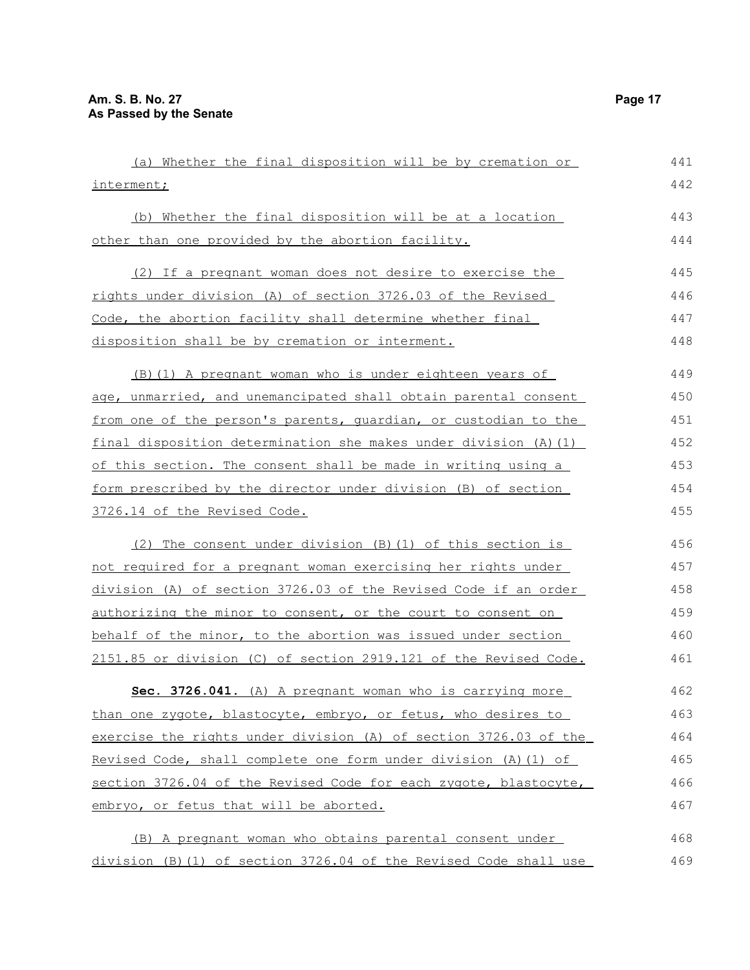| (a) Whether the final disposition will be by cremation or         | 441 |
|-------------------------------------------------------------------|-----|
| interment;                                                        | 442 |
| (b) Whether the final disposition will be at a location           | 443 |
| other than one provided by the abortion facility.                 | 444 |
| (2) If a pregnant woman does not desire to exercise the           | 445 |
| rights under division (A) of section 3726.03 of the Revised       | 446 |
| Code, the abortion facility shall determine whether final         | 447 |
| disposition shall be by cremation or interment.                   | 448 |
| (B) (1) A pregnant woman who is under eighteen years of           | 449 |
| age, unmarried, and unemancipated shall obtain parental consent   | 450 |
| from one of the person's parents, quardian, or custodian to the   | 451 |
| final disposition determination she makes under division (A) (1)  | 452 |
| of this section. The consent shall be made in writing using a     | 453 |
| form prescribed by the director under division (B) of section     | 454 |
| 3726.14 of the Revised Code.                                      | 455 |
| (2) The consent under division (B) (1) of this section is         | 456 |
| not required for a pregnant woman exercising her rights under     | 457 |
| division (A) of section 3726.03 of the Revised Code if an order   | 458 |
| authorizing the minor to consent, or the court to consent on      | 459 |
| behalf of the minor, to the abortion was issued under section     | 460 |
| 2151.85 or division (C) of section 2919.121 of the Revised Code.  | 461 |
| Sec. 3726.041. (A) A pregnant woman who is carrying more          | 462 |
| than one zygote, blastocyte, embryo, or fetus, who desires to     | 463 |
| exercise the rights under division (A) of section 3726.03 of the  | 464 |
| Revised Code, shall complete one form under division (A) (1) of   | 465 |
| section 3726.04 of the Revised Code for each zygote, blastocyte,  | 466 |
| embryo, or fetus that will be aborted.                            | 467 |
| (B) A pregnant woman who obtains parental consent under           | 468 |
| division (B) (1) of section 3726.04 of the Revised Code shall use | 469 |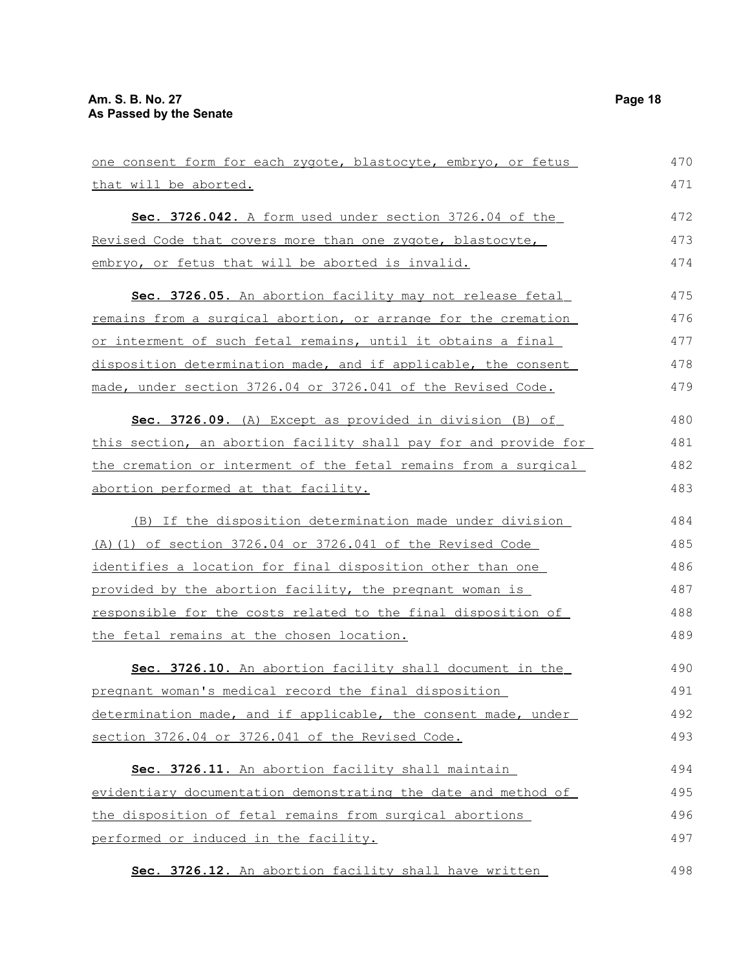| one consent form for each zygote, blastocyte, embryo, or fetus       | 470 |
|----------------------------------------------------------------------|-----|
| that will be aborted.                                                | 471 |
| Sec. 3726.042. A form used under section 3726.04 of the              | 472 |
| Revised Code that covers more than one zygote, blastocyte,           | 473 |
| embryo, or fetus that will be aborted is invalid.                    | 474 |
| Sec. 3726.05. An abortion facility may not release fetal             | 475 |
| remains from a surgical abortion, or arrange for the cremation       | 476 |
| or interment of such fetal remains, until it obtains a final         | 477 |
| disposition determination made, and if applicable, the consent       | 478 |
| made, under section 3726.04 or 3726.041 of the Revised Code.         | 479 |
| Sec. 3726.09. (A) Except as provided in division (B) of              | 480 |
| this section, an abortion facility shall pay for and provide for     | 481 |
| the cremation or interment of the fetal remains from a surgical      | 482 |
| abortion performed at that facility.                                 | 483 |
| (B) If the disposition determination made under division             | 484 |
| (A) (1) of section 3726.04 or 3726.041 of the Revised Code           | 485 |
| identifies a location for final disposition other than one           | 486 |
| provided by the abortion facility, the pregnant woman is             | 487 |
| <u>responsible for the costs related to the final disposition of</u> | 488 |
| the fetal remains at the chosen location.                            | 489 |
| Sec. 3726.10. An abortion facility shall document in the             | 490 |
| pregnant woman's medical record the final disposition                | 491 |
| determination made, and if applicable, the consent made, under       | 492 |
| section 3726.04 or 3726.041 of the Revised Code.                     | 493 |
| Sec. 3726.11. An abortion facility shall maintain                    | 494 |
| evidentiary documentation demonstrating the date and method of       | 495 |
| the disposition of fetal remains from surgical abortions             | 496 |
| performed or induced in the facility.                                | 497 |
| Sec. 3726.12. An abortion facility shall have written                | 498 |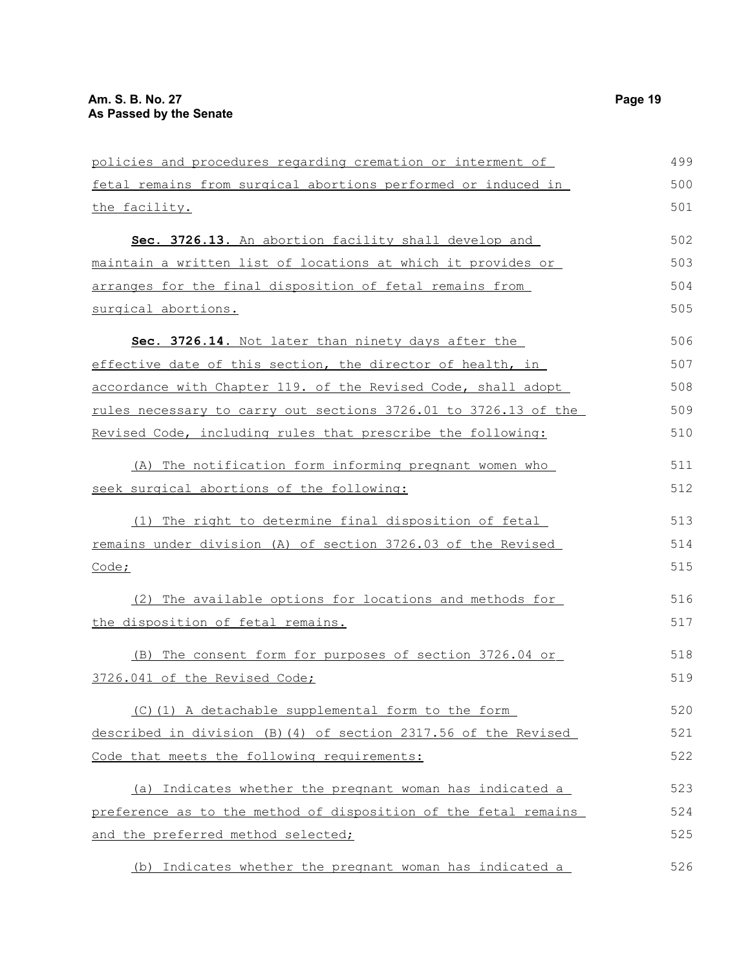| policies and procedures regarding cremation or interment of            | 499 |
|------------------------------------------------------------------------|-----|
| fetal remains from surgical abortions performed or induced in          | 500 |
| the facility.                                                          | 501 |
| Sec. 3726.13. An abortion facility shall develop and                   | 502 |
| maintain a written list of locations at which it provides or           | 503 |
| arranges for the final disposition of fetal remains from               | 504 |
| surgical abortions.                                                    | 505 |
| Sec. 3726.14. Not later than ninety days after the                     | 506 |
| effective date of this section, the director of health, in             | 507 |
| accordance with Chapter 119. of the Revised Code, shall adopt          | 508 |
| <u>rules necessary to carry out sections 3726.01 to 3726.13 of the</u> | 509 |
| Revised Code, including rules that prescribe the following:            | 510 |
| (A) The notification form informing pregnant women who                 | 511 |
| seek surgical abortions of the following:                              | 512 |
| (1) The right to determine final disposition of fetal                  | 513 |
| remains under division (A) of section 3726.03 of the Revised           | 514 |
| <u>Code;</u>                                                           | 515 |
| (2) The available options for locations and methods for                | 516 |
| the disposition of fetal remains.                                      | 517 |
| (B) The consent form for purposes of section 3726.04 or                | 518 |
| 3726.041 of the Revised Code;                                          | 519 |
| (C)(1) A detachable supplemental form to the form                      | 520 |
| described in division (B) (4) of section 2317.56 of the Revised        | 521 |
| Code that meets the following requirements:                            | 522 |
| (a) Indicates whether the pregnant woman has indicated a               | 523 |
| preference as to the method of disposition of the fetal remains        | 524 |
| and the preferred method selected;                                     | 525 |
| (b) Indicates whether the pregnant woman has indicated a               | 526 |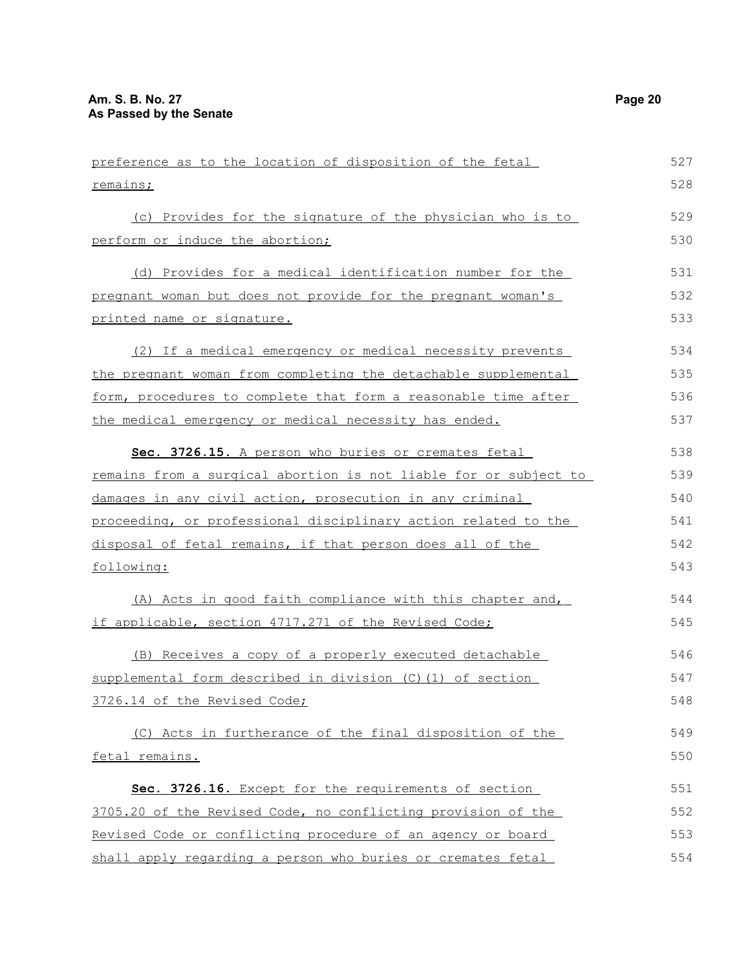| preference as to the location of disposition of the fetal        | 527 |
|------------------------------------------------------------------|-----|
| remains;                                                         | 528 |
| (c) Provides for the signature of the physician who is to        | 529 |
| perform or induce the abortion;                                  | 530 |
| (d) Provides for a medical identification number for the         | 531 |
| pregnant woman but does not provide for the pregnant woman's     | 532 |
| printed name or signature.                                       | 533 |
| (2) If a medical emergency or medical necessity prevents         | 534 |
| the pregnant woman from completing the detachable supplemental   | 535 |
| form, procedures to complete that form a reasonable time after   | 536 |
| the medical emergency or medical necessity has ended.            | 537 |
| Sec. 3726.15. A person who buries or cremates fetal              | 538 |
| remains from a surgical abortion is not liable for or subject to | 539 |
| damages in any civil action, prosecution in any criminal         | 540 |
| proceeding, or professional disciplinary action related to the   | 541 |
| disposal of fetal remains, if that person does all of the        | 542 |
| following:                                                       | 543 |
| (A) Acts in good faith compliance with this chapter and,         | 544 |
| if applicable, section 4717.271 of the Revised Code;             | 545 |
| (B) Receives a copy of a properly executed detachable            | 546 |
| supplemental form described in division (C) (1) of section       | 547 |
| 3726.14 of the Revised Code;                                     | 548 |
| (C) Acts in furtherance of the final disposition of the          | 549 |
| fetal remains.                                                   | 550 |
| Sec. 3726.16. Except for the requirements of section             | 551 |
| 3705.20 of the Revised Code, no conflicting provision of the     | 552 |
| Revised Code or conflicting procedure of an agency or board      | 553 |
| shall apply regarding a person who buries or cremates fetal      | 554 |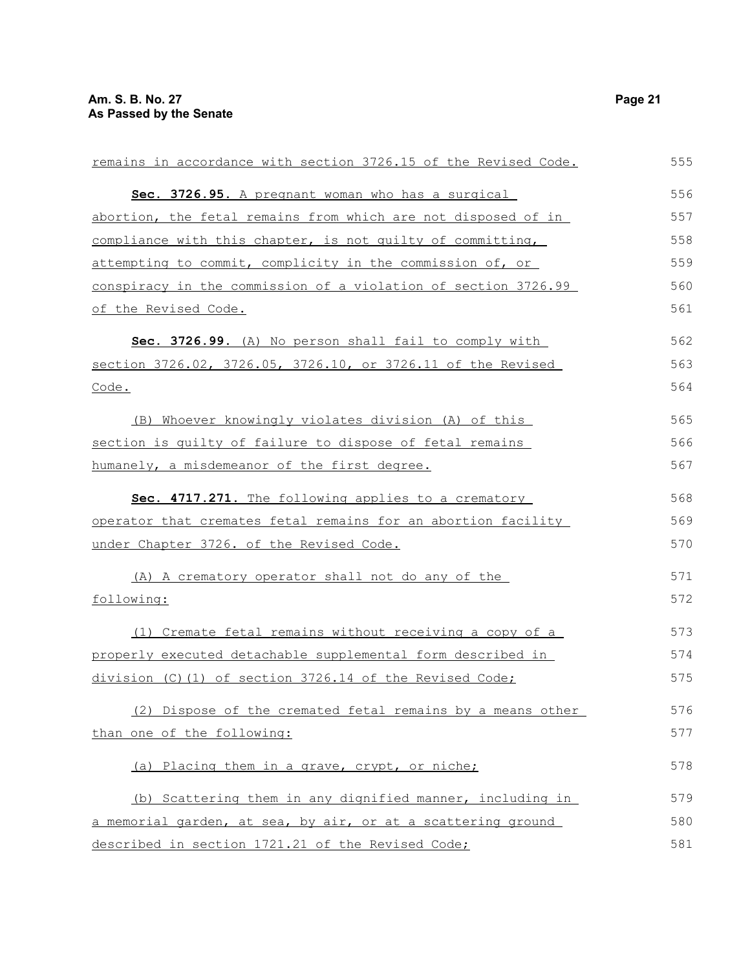| remains in accordance with section 3726.15 of the Revised Code. | 555 |
|-----------------------------------------------------------------|-----|
| Sec. 3726.95. A pregnant woman who has a surgical               | 556 |
| abortion, the fetal remains from which are not disposed of in   | 557 |
| compliance with this chapter, is not quilty of committing,      | 558 |
| attempting to commit, complicity in the commission of, or       | 559 |
| conspiracy in the commission of a violation of section 3726.99  | 560 |
| of the Revised Code.                                            | 561 |
| Sec. 3726.99. (A) No person shall fail to comply with           | 562 |
| section 3726.02, 3726.05, 3726.10, or 3726.11 of the Revised    | 563 |
| Code.                                                           | 564 |
| (B) Whoever knowingly violates division (A) of this             | 565 |
| section is quilty of failure to dispose of fetal remains        | 566 |
| humanely, a misdemeanor of the first degree.                    | 567 |
| Sec. 4717.271. The following applies to a crematory             | 568 |
| operator that cremates fetal remains for an abortion facility   | 569 |
| under Chapter 3726. of the Revised Code.                        | 570 |
| (A) A crematory operator shall not do any of the                | 571 |
| following:                                                      | 572 |
| (1) Cremate fetal remains without receiving a copy of a         | 573 |
| properly executed detachable supplemental form described in     | 574 |
| division (C)(1) of section 3726.14 of the Revised Code;         | 575 |
| (2) Dispose of the cremated fetal remains by a means other      | 576 |
| than one of the following:                                      | 577 |
| (a) Placing them in a grave, crypt, or niche;                   | 578 |
| (b) Scattering them in any dignified manner, including in       | 579 |
| a memorial garden, at sea, by air, or at a scattering ground    | 580 |
| described in section 1721.21 of the Revised Code;               | 581 |